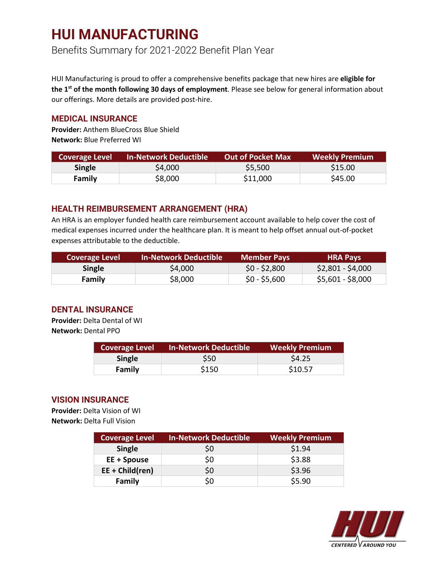## **HUI MANUFACTURING**

Benefits Summary for 2021-2022 Benefit Plan Year

HUI Manufacturing is proud to offer a comprehensive benefits package that new hires are **eligible for the 1st of the month following 30 days of employment**. Please see below for general information about our offerings. More details are provided post-hire.

#### **MEDICAL INSURANCE**

**Provider:** Anthem BlueCross Blue Shield **Network:** Blue Preferred WI

| <b>Coverage Level</b> | <b>In-Network Deductible</b> | <b>Out of Pocket Max</b> | <b>Weekly Premium</b> |
|-----------------------|------------------------------|--------------------------|-----------------------|
| <b>Single</b>         | \$4,000                      | \$5,500                  | \$15.00               |
| Family                | \$8,000                      | \$11,000                 | \$45.00               |

### **HEALTH REIMBURSEMENT ARRANGEMENT (HRA)**

An HRA is an employer funded health care reimbursement account available to help cover the cost of medical expenses incurred under the healthcare plan. It is meant to help offset annual out-of-pocket expenses attributable to the deductible.

| <b>Coverage Level</b> | <b>In-Network Deductible</b> | <b>Member Pays</b> | <b>HRA Pays</b>   |
|-----------------------|------------------------------|--------------------|-------------------|
| <b>Single</b>         | \$4,000                      | $$0 - $2,800$      | $$2,801 - $4,000$ |
| Family                | \$8,000                      | $$0 - $5,600$      | \$5,601 - \$8,000 |

### **DENTAL INSURANCE**

**Provider:** Delta Dental of WI **Network:** Dental PPO

| <b>Coverage Level</b> | <b>In-Network Deductible</b> | Weekly Premium |
|-----------------------|------------------------------|----------------|
| <b>Single</b>         | S50                          | \$4.25         |
| Family                | \$150                        | \$10.57        |

### **VISION INSURANCE**

**Provider:** Delta Vision of WI **Network:** Delta Full Vision

| <b>Coverage Level</b> | <b>In-Network Deductible</b> | <b>Weekly Premium</b> |
|-----------------------|------------------------------|-----------------------|
| <b>Single</b>         | \$0                          | \$1.94                |
| EE + Spouse           | \$0                          | \$3.88                |
| $EE + Child(ren)$     | \$0                          | \$3.96                |
| Family                | S0                           | \$5.90                |